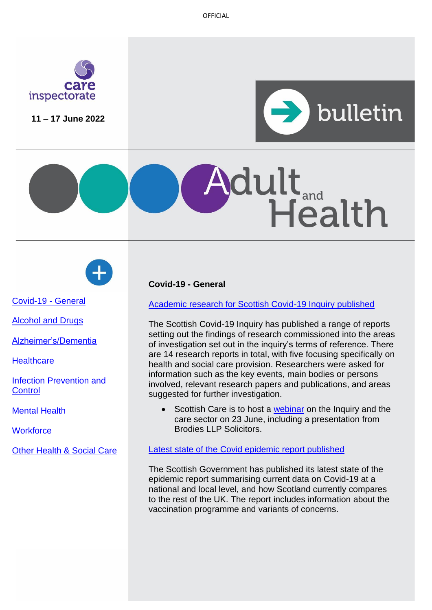OFFICIAL



**11 – 17 June 2022**



# dult<sub>and</sub><br>Health



[Covid-19 -](#page-0-0) General

[Alcohol and Drugs](#page-0-0)

[Alzheimer's/Dementia](#page-1-0)

**[Healthcare](#page-1-1)** 

**[Infection Prevention and](#page-2-0) [Control](#page-2-0)** 

[Mental Health](#page-2-1)

**Workforce** 

[Other Health & Social Care](#page-4-0)

# <span id="page-0-0"></span>**Covid-19 - General**

[Academic research for Scottish Covid-19 Inquiry published](https://www.covid19inquiry.scot/introductory-academic-research)

The Scottish Covid-19 Inquiry has published a range of reports setting out the findings of research commissioned into the areas of investigation set out in the inquiry's terms of reference. There are 14 research reports in total, with five focusing specifically on health and social care provision. Researchers were asked for information such as the key events, main bodies or persons involved, relevant research papers and publications, and areas suggested for further investigation.

Scottish Care is to host a [webinar](https://scottishcare.org/the-scottish-covid-19-inquiry-and-the-care-sector-webinar-23-june/) on the Inquiry and the care sector on 23 June, including a presentation from Brodies LLP Solicitors.

## [Latest state of the Covid epidemic report published](https://www.gov.scot/publications/coronavirus-covid-19-state-epidemic-10-june-2022/)

The Scottish Government has published its latest state of the epidemic report summarising current data on Covid-19 at a national and local level, and how Scotland currently compares to the rest of the UK. The report includes information about the vaccination programme and variants of concerns.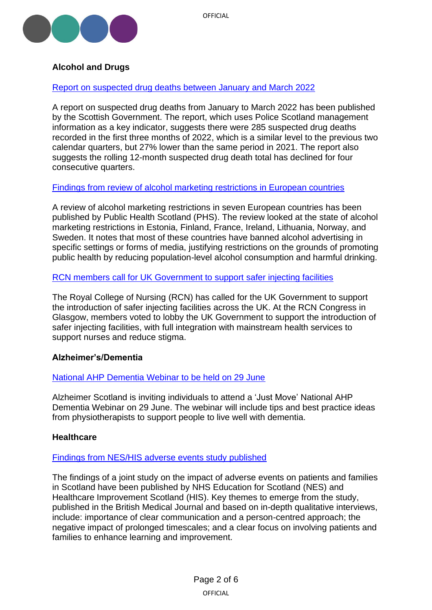

# <span id="page-1-0"></span>**Alcohol and Drugs**

## [Report on suspected drug deaths between January and March 2022](https://www.gov.scot/publications/suspected-drug-deaths-scotland-january-march-2022/)

A report on suspected drug deaths from January to March 2022 has been published by the Scottish Government. The report, which uses Police Scotland management information as a key indicator, suggests there were 285 suspected drug deaths recorded in the first three months of 2022, which is a similar level to the previous two calendar quarters, but 27% lower than the same period in 2021. The report also suggests the rolling 12-month suspected drug death total has declined for four consecutive quarters.

## [Findings from review of alcohol marketing restrictions in European countries](https://publichealthscotland.scot/media/13444/review-of-alcohol-marketing-restrictions-in-seven-european-countries.pdf)

A review of alcohol marketing restrictions in seven European countries has been published by Public Health Scotland (PHS). The review looked at the state of alcohol marketing restrictions in Estonia, Finland, France, Ireland, Lithuania, Norway, and Sweden. It notes that most of these countries have banned alcohol advertising in specific settings or forms of media, justifying restrictions on the grounds of promoting public health by reducing population-level alcohol consumption and harmful drinking.

#### [RCN members call for UK Government to support safer injecting facilities](https://www.rcn.org.uk/news-and-events/news/safer-injecting-facilities-090622)

The Royal College of Nursing (RCN) has called for the UK Government to support the introduction of safer injecting facilities across the UK. At the RCN Congress in Glasgow, members voted to lobby the UK Government to support the introduction of safer injecting facilities, with full integration with mainstream health services to support nurses and reduce stigma.

## **Alzheimer's/Dementia**

## [National AHP Dementia Webinar to be held on 29 June](https://www.alzscot.org/news/just-move-keeping-moving-with-dementia)

Alzheimer Scotland is inviting individuals to attend a 'Just Move' National AHP Dementia Webinar on 29 June. The webinar will include tips and best practice ideas from physiotherapists to support people to live well with dementia.

#### <span id="page-1-1"></span>**Healthcare**

#### [Findings from NES/HIS adverse events study published](https://www.nes.scot.nhs.uk/news/study-into-adverse-events-shows-that-involving-patients-and-families-could-be-key-to-improving-safety/)

The findings of a joint study on the impact of adverse events on patients and families in Scotland have been published by NHS Education for Scotland (NES) and Healthcare Improvement Scotland (HIS). Key themes to emerge from the study, published in the British Medical Journal and based on in-depth qualitative interviews, include: importance of clear communication and a person-centred approach; the negative impact of prolonged timescales; and a clear focus on involving patients and families to enhance learning and improvement.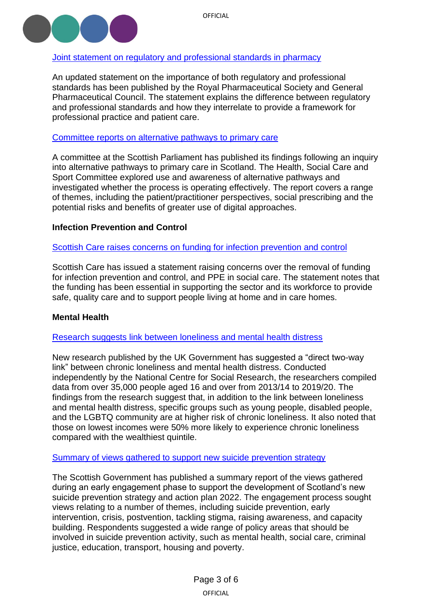

## [Joint statement on regulatory and professional standards in pharmacy](https://www.rpharms.com/recognition/setting-professional-standards/statement-on-safe-and-effective-care)

An updated statement on the importance of both regulatory and professional standards has been published by the Royal Pharmaceutical Society and General Pharmaceutical Council. The statement explains the difference between regulatory and professional standards and how they interrelate to provide a framework for professional practice and patient care.

## Committee reports on [alternative pathways to primary care](https://sp-bpr-en-prod-cdnep.azureedge.net/published/HSCS/2022/6/17/0e05bfbf-b984-4031-97ee-6129de863e93/HSS062022R09.pdf)

A committee at the Scottish Parliament has published its findings following an inquiry into alternative pathways to primary care in Scotland. The Health, Social Care and Sport Committee explored use and awareness of alternative pathways and investigated whether the process is operating effectively. The report covers a range of themes, including the patient/practitioner perspectives, social prescribing and the potential risks and benefits of greater use of digital approaches.

## <span id="page-2-0"></span>**Infection Prevention and Control**

#### Scottish Care raises concerns on [funding for infection prevention and control](https://scottishcare.org/scottish-care-media-statement-removal-of-funding-to-support-infection-prevention-and-control/)

Scottish Care has issued a statement raising concerns over the removal of funding for infection prevention and control, and PPE in social care. The statement notes that the funding has been essential in supporting the sector and its workforce to provide safe, quality care and to support people living at home and in care homes.

#### <span id="page-2-1"></span>**Mental Health**

#### [Research suggests link between loneliness and mental health distress](https://www.gov.uk/government/news/new-government-research-identifies-clear-links-between-loneliness-and-mental-health-distress)

New research published by the UK Government has suggested a "direct two-way link" between chronic loneliness and mental health distress. Conducted independently by the National Centre for Social Research, the researchers compiled data from over 35,000 people aged 16 and over from 2013/14 to 2019/20. The findings from the research suggest that, in addition to the link between loneliness and mental health distress, specific groups such as young people, disabled people, and the LGBTQ community are at higher risk of chronic loneliness. It also noted that those on lowest incomes were 50% more likely to experience chronic loneliness compared with the wealthiest quintile.

#### [Summary of views gathered to support new suicide prevention strategy](https://www.gov.scot/publications/new-suicide-prevention-strategy-scotland-early-engagement-summary-report/)

The Scottish Government has published a summary report of the views gathered during an early engagement phase to support the development of Scotland's new suicide prevention strategy and action plan 2022. The engagement process sought views relating to a number of themes, including suicide prevention, early intervention, crisis, postvention, tackling stigma, raising awareness, and capacity building. Respondents suggested a wide range of policy areas that should be involved in suicide prevention activity, such as mental health, social care, criminal justice, education, transport, housing and poverty.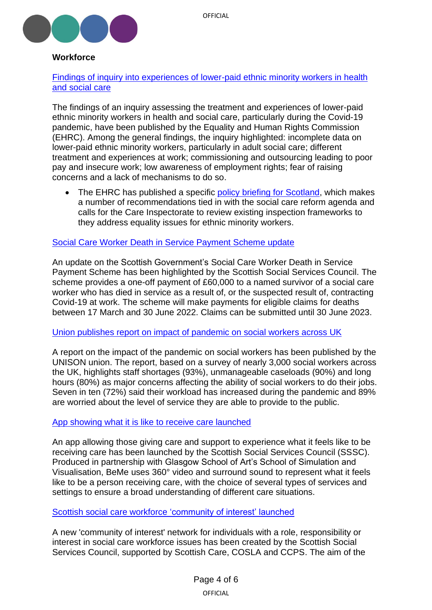



# **Workforce**

[Findings of inquiry into experiences of lower-paid ethnic minority workers in health](https://equalityhumanrights.com/en/publication-download/experiences-health-and-social-care-treatment-lower-paid-ethnic-minority-workers)  [and social care](https://equalityhumanrights.com/en/publication-download/experiences-health-and-social-care-treatment-lower-paid-ethnic-minority-workers)

The findings of an inquiry assessing the treatment and experiences of lower-paid ethnic minority workers in health and social care, particularly during the Covid-19 pandemic, have been published by the Equality and Human Rights Commission (EHRC). Among the general findings, the inquiry highlighted: incomplete data on lower-paid ethnic minority workers, particularly in adult social care; different treatment and experiences at work; commissioning and outsourcing leading to poor pay and insecure work; low awareness of employment rights; fear of raising concerns and a lack of mechanisms to do so.

The EHRC has published a specific [policy briefing for Scotland,](https://equalityhumanrights.com/sites/default/files/inquiry-experiences-and-treatment-of-lower-paid-ethnic-minority-workers-in-health-and-social-care-scotland-briefing.docx) which makes a number of recommendations tied in with the social care reform agenda and calls for the Care Inspectorate to review existing inspection frameworks to they address equality issues for ethnic minority workers.

#### [Social Care Worker Death in Service Payment Scheme](https://news.sssc.uk.com/news/update-social-care-worker-death-in-service-scheme) update

An update on the Scottish Government's Social Care Worker Death in Service Payment Scheme has been highlighted by the Scottish Social Services Council. The scheme provides a one-off payment of £60,000 to a named survivor of a social care worker who has died in service as a result of, or the suspected result of, contracting Covid-19 at work. The scheme will make payments for eligible claims for deaths between 17 March and 30 June 2022. Claims can be submitted until 30 June 2023.

#### [Union publishes report on impact of pandemic on social workers across UK](https://www.unison.org.uk/news/press-release/2022/06/social-workers-at-breaking-point-with-half-at-risk-of-quitting-warns-unison/)

A report on the impact of the pandemic on social workers has been published by the UNISON union. The report, based on a survey of nearly 3,000 social workers across the UK, highlights staff shortages (93%), unmanageable caseloads (90%) and long hours (80%) as major concerns affecting the ability of social workers to do their jobs. Seven in ten (72%) said their workload has increased during the pandemic and 89% are worried about the level of service they are able to provide to the public.

## [App showing what it is like to receive care launched](https://news.sssc.uk.com/news/new-app-shows-what-its-like-to-receive-care)

An app allowing those giving care and support to experience what it feels like to be receiving care has been launched by the Scottish Social Services Council (SSSC). Produced in partnership with Glasgow School of Art's School of Simulation and Visualisation, BeMe uses 360° video and surround sound to represent what it feels like to be a person receiving care, with the choice of several types of services and settings to ensure a broad understanding of different care situations.

## Scottish social care workforce ['community of interest' launched](https://www.careinspectorate.com/index.php/news/6721-scottish-social-care-workforce-planning-forum)

A new 'community of interest' network for individuals with a role, responsibility or interest in social care workforce issues has been created by the Scottish Social Services Council, supported by Scottish Care, COSLA and CCPS. The aim of the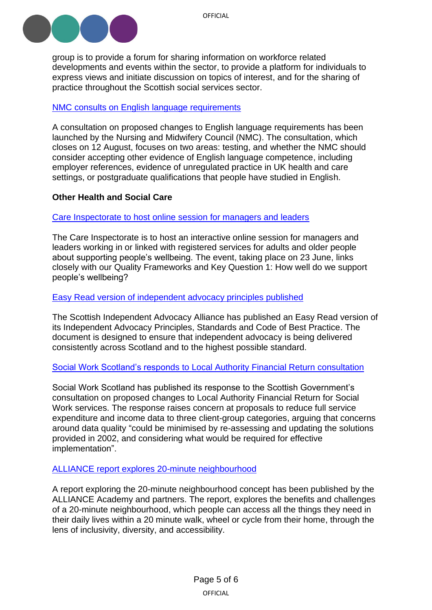

group is to provide a forum for sharing information on workforce related developments and events within the sector, to provide a platform for individuals to express views and initiate discussion on topics of interest, and for the sharing of practice throughout the Scottish social services sector.

## [NMC consults on English language requirements](https://www.nmc.org.uk/news/news-and-updates/nmc-launches-consultation-on-english-language-requirements/)

A consultation on proposed changes to English language requirements has been launched by the Nursing and Midwifery Council (NMC). The consultation, which closes on 12 August, focuses on two areas: testing, and whether the NMC should consider accepting other evidence of English language competence, including employer references, evidence of unregulated practice in UK health and care settings, or postgraduate qualifications that people have studied in English.

#### <span id="page-4-0"></span>**Other Health and Social Care**

#### [Care Inspectorate to host online session for managers and leaders](https://forms.office.com/pages/responsepage.aspx?id=Y1hH29mw4ke3P4nADYUedBp1ogLfFMVJuD43eEp1oKlUODhSSVNSSklZOVpXUFpYUVQ0REFWSFdIQi4u&utm_medium=email&utm_source=govdelivery)

The Care Inspectorate is to host an interactive online session for managers and leaders working in or linked with registered services for adults and older people about supporting people's wellbeing. The event, taking place on 23 June, links closely with our Quality Frameworks and Key Question 1: How well do we support people's wellbeing?

#### [Easy Read version of independent advocacy principles published](https://www.siaa.org.uk/member-news/new-siaa-publication-independent-advocacy-principles-easy-read-version/)

The Scottish Independent Advocacy Alliance has published an Easy Read version of its Independent Advocacy Principles, Standards and Code of Best Practice. The document is designed to ensure that independent advocacy is being delivered consistently across Scotland and to the highest possible standard.

#### Social Work Scotland's responds [to Local Authority Financial Return](https://socialworkscotland.org/dont-cut-detail-on-data-collection-in-adult-social-care-expenditure-social-work-scotland-responds-to-government-consultation/) consultation

Social Work Scotland has published its response to the Scottish Government's consultation on proposed changes to Local Authority Financial Return for Social Work services. The response raises concern at proposals to reduce full service expenditure and income data to three client-group categories, arguing that concerns around data quality "could be minimised by re-assessing and updating the solutions provided in 2002, and considering what would be required for effective implementation".

#### [ALLIANCE report explores 20-minute neighbourhood](https://www.alliance-scotland.org.uk/blog/news/exploring-scotlands-20-minute-neighbourhoods-final-report-published/)

A report exploring the 20-minute neighbourhood concept has been published by the ALLIANCE Academy and partners. The report, explores the benefits and challenges of a 20-minute neighbourhood, which people can access all the things they need in their daily lives within a 20 minute walk, wheel or cycle from their home, through the lens of inclusivity, diversity, and accessibility.